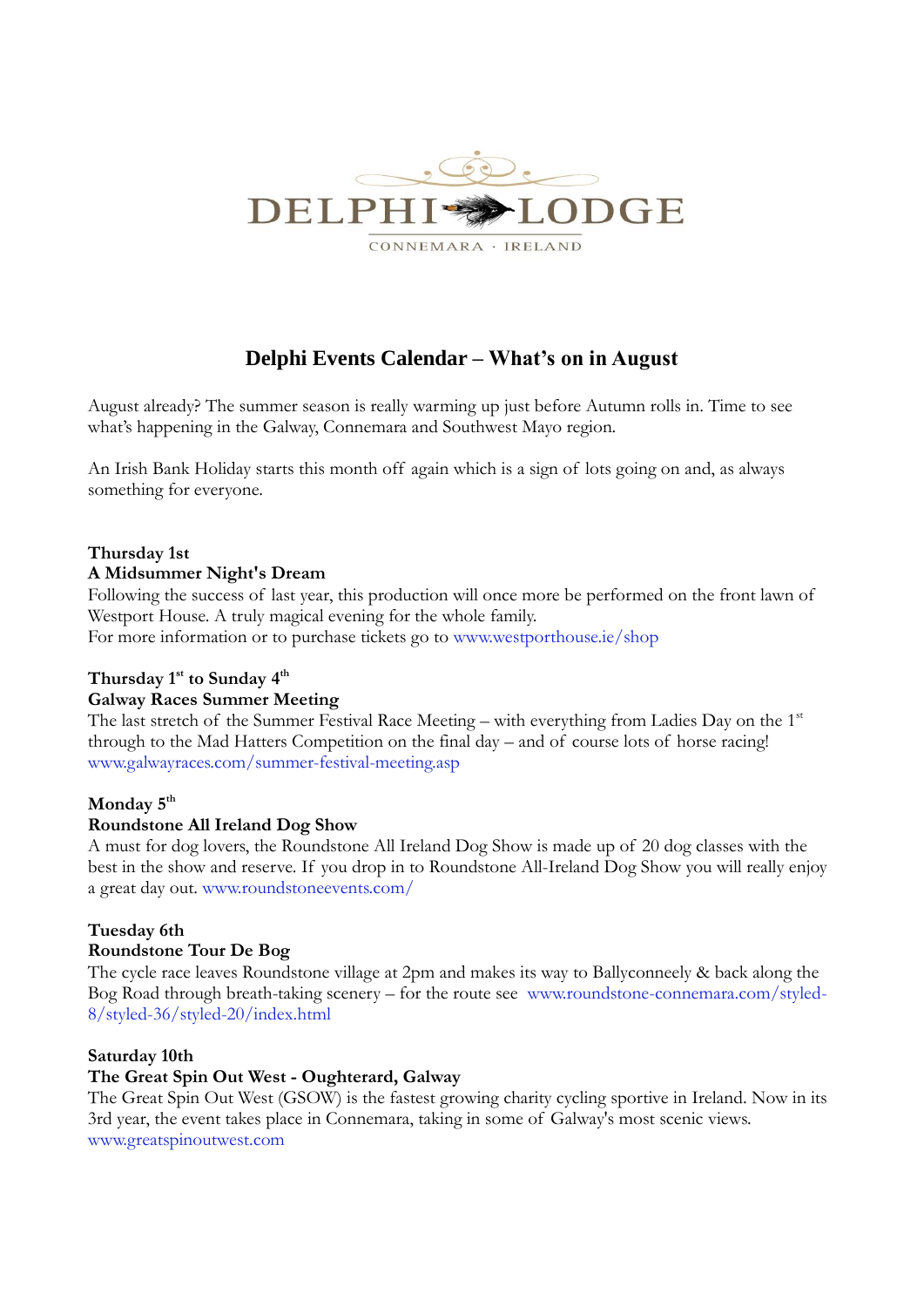

# **Delphi Events Calendar – What's on in August**

August already? The summer season is really warming up just before Autumn rolls in. Time to see what's happening in the Galway, Connemara and Southwest Mayo region.

An Irish Bank Holiday starts this month off again which is a sign of lots going on and, as always something for everyone.

# **Thursday 1st**

# **A Midsummer Night's Dream**

Following the success of last year, this production will once more be performed on the front lawn of Westport House. A truly magical evening for the whole family.

For more information or to purchase tickets go to [www.westporthouse.ie/shop](http://www.westporthouse.ie/shop)

# **Thursday 1st to Sunday 4th**

# **Galway Races Summer Meeting**

The last stretch of the Summer Festival Race Meeting – with everything from Ladies Day on the 1<sup>st</sup> through to the Mad Hatters Competition on the final day – and of course lots of horse racing! [www.galwayraces.com/summer-festival-meeting.asp](http://www.galwayraces.com/summer-festival-meeting.asp)

# **Monday 5th**

# **Roundstone All Ireland Dog Show**

A must for dog lovers, the Roundstone All Ireland Dog Show is made up of 20 dog classes with the best in the show and reserve. If you drop in to [Roundstone All-Ireland Dog Show](http://www.ireland.com/events/all/1-500283?view=0&type=2&start=01-08-2013&end=31-08-2013&page=3) you will really enjoy a great day out. [www.roundstoneevents.com/](http://www.roundstoneevents.com/)

# **Tuesday 6th**

# **Roundstone Tour De Bog**

The cycle race leaves Roundstone village at 2pm and makes its way to Ballyconneely & back along the Bog Road through breath-taking scenery – for the route see [www.roundstone-connemara.com/styled-](http://www.roundstone-connemara.com/styled-8/styled-36/styled-20/index.html)[8/styled-36/styled-20/index.html](http://www.roundstone-connemara.com/styled-8/styled-36/styled-20/index.html)

# **Saturday 10th**

# **The Great Spin Out West - Oughterard, Galway**

The Great Spin Out West (GSOW) is the fastest growing charity cycling sportive in Ireland. Now in its 3rd year, the event takes place in Connemara, taking in some of Galway's most scenic views. [www.greatspinoutwest.com](http://www.greatspinoutwest.com/)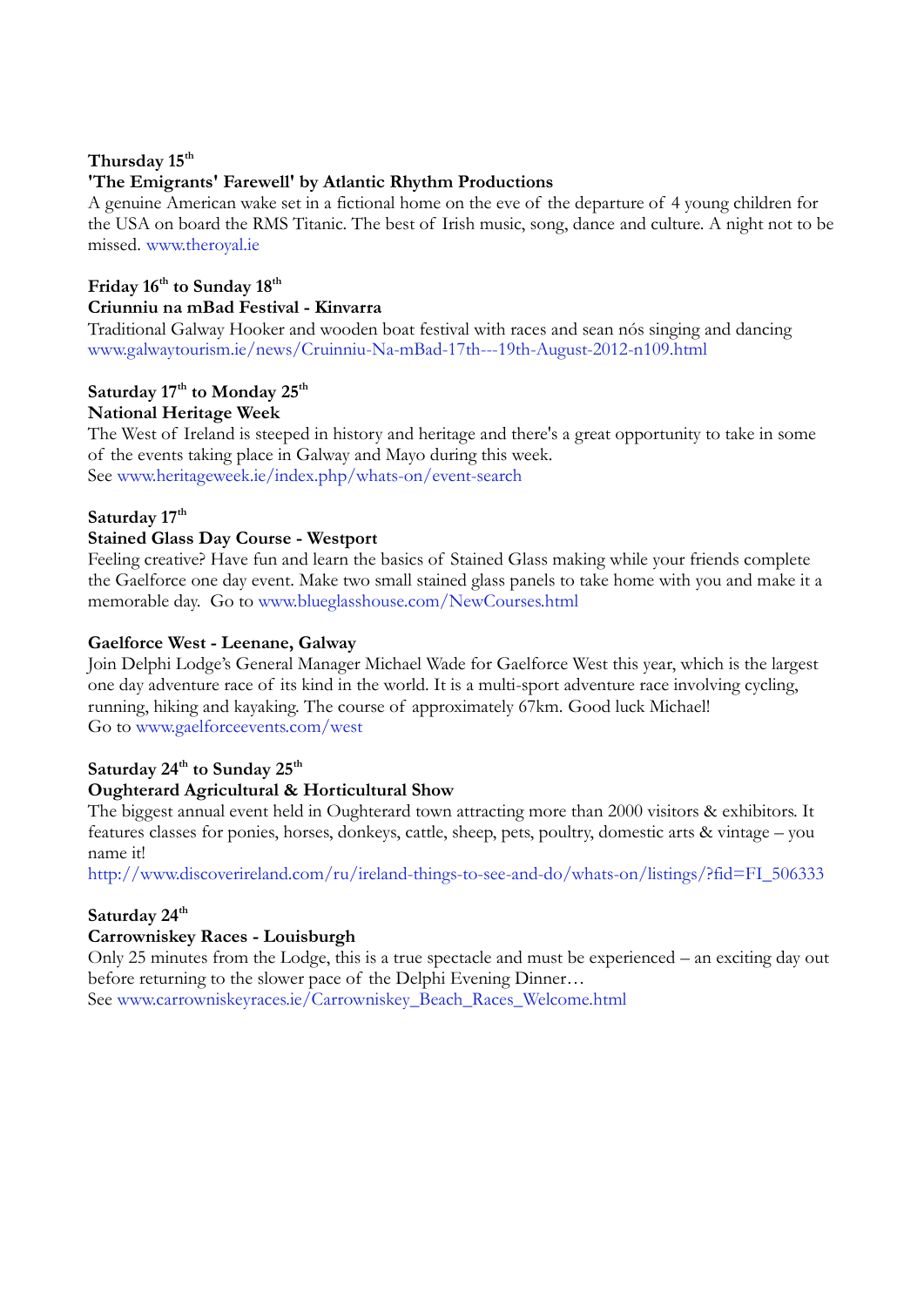# **Thursday 15th**

# **'The Emigrants' Farewell' by Atlantic Rhythm Productions**

A genuine American wake set in a fictional home on the eve of the departure of 4 young children for the USA on board the RMS Titanic. The best of Irish music, song, dance and culture. A night not to be missed. [www.theroyal.ie](http://www.theroyal.ie/)

# **Friday 16th to Sunday 18th Criunniu na mBad Festival - Kinvarra**

Traditional Galway Hooker and wooden boat festival with races and sean nós singing and dancing [www.galwaytourism.ie/news/Cruinniu-Na-mBad-17th---19th-August-2012-n109.html](http://www.galwaytourism.ie/news/Cruinniu-Na-mBad-17th---19th-August-2012-n109.html)

# **Saturday 17th to Monday 25th**

# **National Heritage Week**

The West of Ireland is steeped in history and heritage and there's a great opportunity to take in some of the events taking place in Galway and Mayo during this week. See [www.heritageweek.ie/index.php/whats-on/event-search](http://www.heritageweek.ie/index.php/whats-on/event-search)

# **Saturday 17th**

# **Stained Glass Day Course - Westport**

Feeling creative? Have fun and learn the basics of Stained Glass making while your friends complete the Gaelforce one day event. Make two small stained glass panels to take home with you and make it a memorable day. Go to [www.blueglasshouse.com/NewCourses.html](http://www.blueglasshouse.com/NewCourses.html)

# **Gaelforce West - Leenane, Galway**

Join Delphi Lodge's General Manager Michael Wade for Gaelforce West this year, which is the largest one day adventure race of its kind in the world. It is a multi-sport adventure race involving cycling, running, hiking and kayaking. The course of approximately 67km. Good luck Michael! Go to [www.gaelforceevents.com/west](http://www.gaelforceevents.com/west)

# **Saturday 24th to Sunday 25th**

# **Oughterard Agricultural & Horticultural Show**

The biggest annual event held in Oughterard town attracting more than 2000 visitors & exhibitors. It features classes for ponies, horses, donkeys, cattle, sheep, pets, poultry, domestic arts & vintage – you name it!

[http://www.discoverireland.com/ru/ireland-things-to-see-and-do/whats-on/listings/?fid=FI\\_506333](http://www.discoverireland.com/ru/ireland-things-to-see-and-do/whats-on/listings/?fid=FI_506333)

# **Saturday 24th**

# **Carrowniskey Races - Louisburgh**

Only 25 minutes from the Lodge, this is a true spectacle and must be experienced – an exciting day out before returning to the slower pace of the Delphi Evening Dinner…

See [www.carrowniskeyraces.ie/Carrowniskey\\_Beach\\_Races\\_Welcome.html](http://www.carrowniskeyraces.ie/Carrowniskey_Beach_Races_Welcome.html)